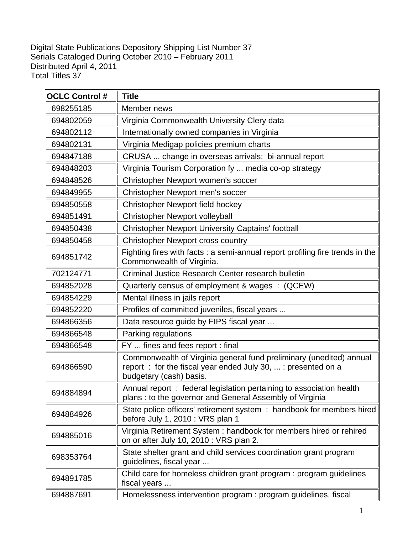D S D T igital State Publications Depository Shipping List Number 37 erials Cataloged During October 2010 – February 2011 istributed April 4, 2011 otal Titles 37

| <b>OCLC Control #</b> | <b>Title</b>                                                                                                                                                   |
|-----------------------|----------------------------------------------------------------------------------------------------------------------------------------------------------------|
| 698255185             | Member news                                                                                                                                                    |
| 694802059             | Virginia Commonwealth University Clery data                                                                                                                    |
| 694802112             | Internationally owned companies in Virginia                                                                                                                    |
| 694802131             | Virginia Medigap policies premium charts                                                                                                                       |
| 694847188             | CRUSA  change in overseas arrivals: bi-annual report                                                                                                           |
| 694848203             | Virginia Tourism Corporation fy  media co-op strategy                                                                                                          |
| 694848526             | Christopher Newport women's soccer                                                                                                                             |
| 694849955             | Christopher Newport men's soccer                                                                                                                               |
| 694850558             | Christopher Newport field hockey                                                                                                                               |
| 694851491             | Christopher Newport volleyball                                                                                                                                 |
| 694850438             | <b>Christopher Newport University Captains' football</b>                                                                                                       |
| 694850458             | <b>Christopher Newport cross country</b>                                                                                                                       |
| 694851742             | Fighting fires with facts: a semi-annual report profiling fire trends in the<br>Commonwealth of Virginia.                                                      |
| 702124771             | Criminal Justice Research Center research bulletin                                                                                                             |
| 694852028             | Quarterly census of employment & wages : (QCEW)                                                                                                                |
| 694854229             | Mental illness in jails report                                                                                                                                 |
| 694852220             | Profiles of committed juveniles, fiscal years                                                                                                                  |
| 694866356             | Data resource guide by FIPS fiscal year                                                                                                                        |
| 694866548             | Parking regulations                                                                                                                                            |
| 694866548             | FY  fines and fees report : final                                                                                                                              |
| 694866590             | Commonwealth of Virginia general fund preliminary (unedited) annual<br>report: for the fiscal year ended July 30,  : presented on a<br>budgetary (cash) basis. |
| 694884894             | Annual report: federal legislation pertaining to association health<br>plans: to the governor and General Assembly of Virginia                                 |
| 694884926             | State police officers' retirement system : handbook for members hired<br>before July 1, 2010 : VRS plan 1                                                      |
| 694885016             | Virginia Retirement System: handbook for members hired or rehired<br>on or after July 10, 2010 : VRS plan 2.                                                   |
| 698353764             | State shelter grant and child services coordination grant program<br>guidelines, fiscal year                                                                   |
| 694891785             | Child care for homeless children grant program : program guidelines<br>fiscal years                                                                            |
| 694887691             | Homelessness intervention program : program guidelines, fiscal                                                                                                 |